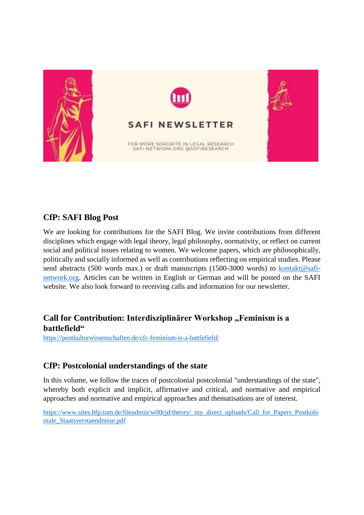

## **CfP: SAFI Blog Post**

We are looking for contributions for the SAFI Blog. We invite contributions from different disciplines which engage with legal theory, legal philosophy, normativity, or reflect on current social and political issues relating to women. We welcome papers, which are philosophically, politically and socially informed as well as contributions reflecting on empirical studies. Please send abstracts (500 words max.) or draft manuscripts (1500-3000 words) to  $\frac{\text{kontakt@safi-}}{\text{kontakt@safi-}}$ [network.org.](mailto:kontakt@safi-network.org) Articles can be written in English or German and will be posted on the SAFI website. We also look forward to receiving calls and information for our newsletter.

## **Call for Contribution: Interdisziplinärer Workshop "Feminism is a battlefield"**

<https://postkulturwissenschaften.de/cfc-feminism-is-a-battlefield/>

## **CfP: Postcolonial understandings of the state**

In this volume, we follow the traces of postcolonial postcolonial "understandings of the state", whereby both explicit and implicit, affirmative and critical, and normative and empirical approaches and normative and empirical approaches and thematisations are of interest.

[https://www.sites.hfp.tum.de/fileadmin/w00cjd/theory/\\_my\\_direct\\_uploads/Call\\_for\\_Papers\\_Postkolo](https://www.sites.hfp.tum.de/fileadmin/w00cjd/theory/_my_direct_uploads/Call_for_Papers_Postkoloniale_Staatsverstaendnisse.pdf) [niale\\_Staatsverstaendnisse.pdf](https://www.sites.hfp.tum.de/fileadmin/w00cjd/theory/_my_direct_uploads/Call_for_Papers_Postkoloniale_Staatsverstaendnisse.pdf)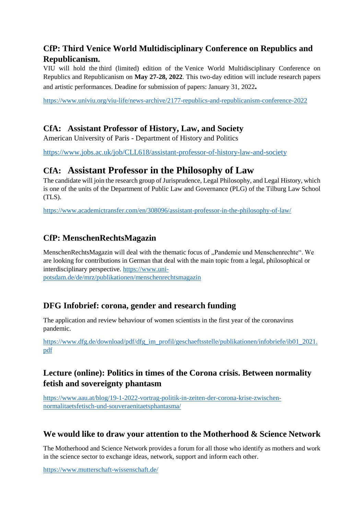# **CfP: Third Venice World Multidisciplinary Conference on Republics and Republicanism.**

VIU will hold the third (limited) edition of the Venice World Multidisciplinary Conference on Republics and Republicanism on **May 27-28, 2022**. This two-day edition will include research papers and artistic performances. Deadine for submission of papers: January 31, 2022**.**

<https://www.univiu.org/viu-life/news-archive/2177-republics-and-republicanism-conference-2022>

## **CfA: Assistant Professor of History, Law, and Society**

American University of Paris - Department of History and Politics

<https://www.jobs.ac.uk/job/CLL618/assistant-professor-of-history-law-and-society>

# **CfA: Assistant Professor in the Philosophy of Law**

The candidate will join the research group of Jurisprudence, Legal Philosophy, and Legal History, which is one of the units of the Department of Public Law and Governance (PLG) of the Tilburg Law School (TLS).

<https://www.academictransfer.com/en/308096/assistant-professor-in-the-philosophy-of-law/>

## **CfP: MenschenRechtsMagazin**

MenschenRechtsMagazin will deal with the thematic focus of "Pandemie und Menschenrechte". We are looking for contributions in German that deal with the main topic from a legal, philosophical or interdisciplinary perspective. [https://www.uni](https://www.uni-potsdam.de/de/mrz/publikationen/menschenrechtsmagazin)[potsdam.de/de/mrz/publikationen/menschenrechtsmagazin](https://www.uni-potsdam.de/de/mrz/publikationen/menschenrechtsmagazin)

## **DFG Infobrief: corona, gender and research funding**

The application and review behaviour of women scientists in the first year of the coronavirus pandemic.

[https://www.dfg.de/download/pdf/dfg\\_im\\_profil/geschaeftsstelle/publikationen/infobriefe/ib01\\_2021.](https://www.dfg.de/download/pdf/dfg_im_profil/geschaeftsstelle/publikationen/infobriefe/ib01_2021.pdf) [pdf](https://www.dfg.de/download/pdf/dfg_im_profil/geschaeftsstelle/publikationen/infobriefe/ib01_2021.pdf)

## **Lecture (online): Politics in times of the Corona crisis. Between normality fetish and sovereignty phantasm**

[https://www.aau.at/blog/19-1-2022-vortrag-politik-in-zeiten-der-corona-krise-zwischen](https://www.aau.at/blog/19-1-2022-vortrag-politik-in-zeiten-der-corona-krise-zwischen-normalitaetsfetisch-und-souveraenitaetsphantasma/)[normalitaetsfetisch-und-souveraenitaetsphantasma/](https://www.aau.at/blog/19-1-2022-vortrag-politik-in-zeiten-der-corona-krise-zwischen-normalitaetsfetisch-und-souveraenitaetsphantasma/)

## **We would like to draw your attention to the Motherhood & Science Network**

The Motherhood and Science Network provides a forum for all those who identify as mothers and work in the science sector to exchange ideas, network, support and inform each other.

<https://www.mutterschaft-wissenschaft.de/>